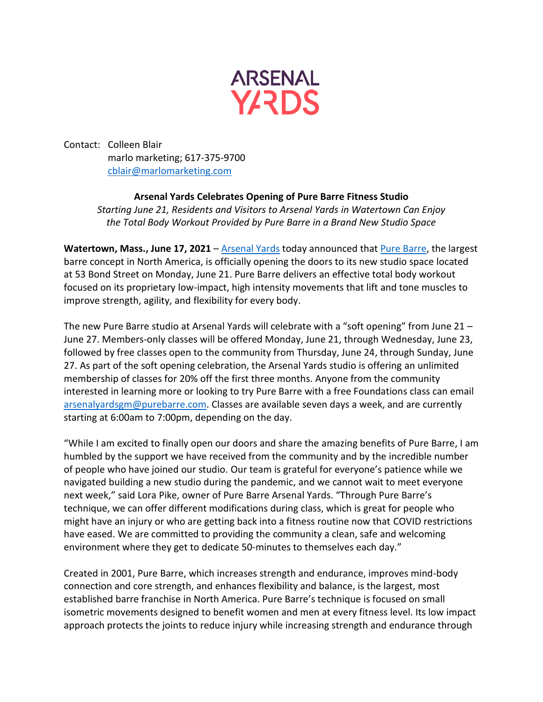

Contact: Colleen Blair marlo marketing; 617-375-9700 [cblair@marlomarketing.com](mailto:cblair@marlomarketing.com)

## **Arsenal Yards Celebrates Opening of Pure Barre Fitness Studio**

*Starting June 21, Residents and Visitors to Arsenal Yards in Watertown Can Enjoy the Total Body Workout Provided by Pure Barre in a Brand New Studio Space*

Watertown, Mass., June 17, 2021 – [Arsenal Yards](https://www.arsenalyards.com/) today announced that [Pure Barre,](http://www.purebarre.com/) the largest barre concept in North America, is officially opening the doors to its new studio space located at 53 Bond Street on Monday, June 21. Pure Barre delivers an effective total body workout focused on its proprietary low-impact, high intensity movements that lift and tone muscles to improve strength, agility, and flexibility for every body.

The new Pure Barre studio at Arsenal Yards will celebrate with a "soft opening" from June 21 – June 27. Members-only classes will be offered Monday, June 21, through Wednesday, June 23, followed by free classes open to the community from Thursday, June 24, through Sunday, June 27. As part of the soft opening celebration, the Arsenal Yards studio is offering an unlimited membership of classes for 20% off the first three months. Anyone from the community interested in learning more or looking to try Pure Barre with a free Foundations class can email [arsenalyardsgm@purebarre.com.](mailto:arsenalyardsgm@purebarre.com) Classes are available seven days a week, and are currently starting at 6:00am to 7:00pm, depending on the day.

"While I am excited to finally open our doors and share the amazing benefits of Pure Barre, I am humbled by the support we have received from the community and by the incredible number of people who have joined our studio. Our team is grateful for everyone's patience while we navigated building a new studio during the pandemic, and we cannot wait to meet everyone next week," said Lora Pike, owner of Pure Barre Arsenal Yards. "Through Pure Barre's technique, we can offer different modifications during class, which is great for people who might have an injury or who are getting back into a fitness routine now that COVID restrictions have eased. We are committed to providing the community a clean, safe and welcoming environment where they get to dedicate 50-minutes to themselves each day."

Created in 2001, Pure Barre, which increases strength and endurance, improves mind-body connection and core strength, and enhances flexibility and balance, is the largest, most established barre franchise in North America. Pure Barre's technique is focused on small isometric movements designed to benefit women and men at every fitness level. Its low impact approach protects the joints to reduce injury while increasing strength and endurance through